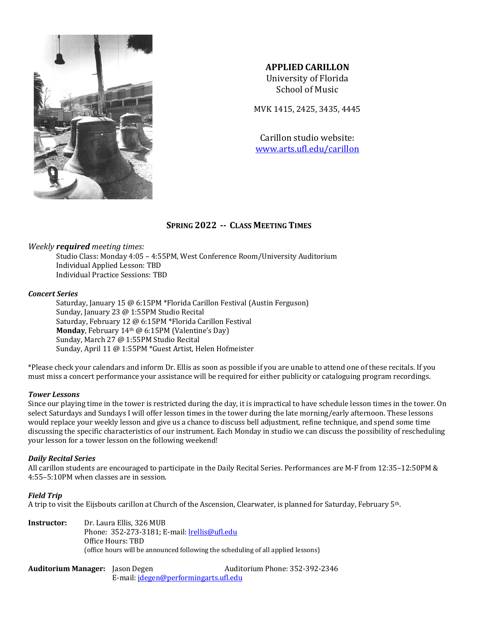

# **APPLIED CARILLON**

University of Florida School of Music

MVK 1415, 2425, 3435, 4445

Carillon studio website: www.arts.ufl.edu/carillon

# **SPRING 2022 -- CLASS MEETING TIMES**

*Weekly* **required** meeting times:

Studio Class: Monday 4:05 - 4:55PM, West Conference Room/University Auditorium Individual Applied Lesson: TBD Individual Practice Sessions: TBD

# *Concert Series*

Saturday, January 15  $\omega$  6:15PM \*Florida Carillon Festival (Austin Ferguson) Sunday, January 23 @ 1:55PM Studio Recital Saturday, February 12 @ 6:15PM \*Florida Carillon Festival **Monday**, February 14<sup>th</sup> @ 6:15PM (Valentine's Day) Sunday, March 27 @ 1:55PM Studio Recital Sunday, April 11 @ 1:55PM \*Guest Artist, Helen Hofmeister

\*Please check your calendars and inform Dr. Ellis as soon as possible if you are unable to attend one of these recitals. If you must miss a concert performance your assistance will be required for either publicity or cataloguing program recordings.

# *Tower Lessons*

Since our playing time in the tower is restricted during the day, it is impractical to have schedule lesson times in the tower. On select Saturdays and Sundays I will offer lesson times in the tower during the late morning/early afternoon. These lessons would replace your weekly lesson and give us a chance to discuss bell adjustment, refine technique, and spend some time discussing the specific characteristics of our instrument. Each Monday in studio we can discuss the possibility of rescheduling your lesson for a tower lesson on the following weekend!

# *Daily Recital Series*

All carillon students are encouraged to participate in the Daily Recital Series. Performances are M-F from 12:35-12:50PM &  $4:55-5:10$ PM when classes are in session.

# *Field Trip*

A trip to visit the Eijsbouts carillon at Church of the Ascension, Clearwater, is planned for Saturday, February  $5<sup>th</sup>$ .

**Instructor:** Dr. Laura Ellis, 326 MUB Phone: 352-273-3181; E-mail: *lrellis@ufl.edu* Office Hours: TBD (office hours will be announced following the scheduling of all applied lessons)

**Auditorium Manager:** Jason Degen Auditorium Phone: 352-392-2346 E-mail: jdegen@performingarts.ufl.edu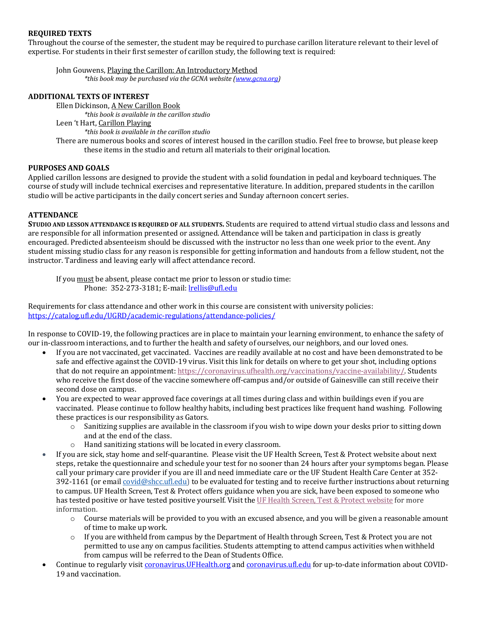# **REQUIRED TEXTS**

Throughout the course of the semester, the student may be required to purchase carillon literature relevant to their level of expertise. For students in their first semester of carillon study, the following text is required:

John Gouwens, Playing the Carillon: An Introductory Method \*this book may be purchased via the GCNA website (www.gcna.org)

# **ADDITIONAL TEXTS OF INTEREST**

Ellen Dickinson, A New Carillon Book *\*this book is available in the carillon studio* Leen 't Hart, Carillon Playing *\*this book is available in the carillon studio* There are numerous books and scores of interest housed in the carillon studio. Feel free to browse, but please keep these items in the studio and return all materials to their original location.

# **PURPOSES AND GOALS**

Applied carillon lessons are designed to provide the student with a solid foundation in pedal and keyboard techniques. The course of study will include technical exercises and representative literature. In addition, prepared students in the carillon studio will be active participants in the daily concert series and Sunday afternoon concert series.

# **ATTENDANCE**

**STUDIO AND LESSON ATTENDANCE IS REQUIRED OF ALL STUDENTS. Students are required to attend virtual studio class and lessons and** are responsible for all information presented or assigned. Attendance will be taken and participation in class is greatly encouraged. Predicted absenteeism should be discussed with the instructor no less than one week prior to the event. Any student missing studio class for any reason is responsible for getting information and handouts from a fellow student, not the instructor. Tardiness and leaving early will affect attendance record.

If you must be absent, please contact me prior to lesson or studio time: Phone: 352-273-3181; E-mail: **Irellis@ufl.edu** 

Requirements for class attendance and other work in this course are consistent with university policies: https://catalog.ufl.edu/UGRD/academic-regulations/attendance-policies/

In response to COVID-19, the following practices are in place to maintain your learning environment, to enhance the safety of our in-classroom interactions, and to further the health and safety of ourselves, our neighbors, and our loved ones. 

- If you are not vaccinated, get vaccinated. Vaccines are readily available at no cost and have been demonstrated to be safe and effective against the COVID-19 virus. Visit this link for details on where to get your shot, including options that do not require an appointment: https://coronavirus.ufhealth.org/vaccinations/vaccine-availability/. Students who receive the first dose of the vaccine somewhere off-campus and/or outside of Gainesville can still receive their second dose on campus.
- You are expected to wear approved face coverings at all times during class and within buildings even if you are vaccinated. Please continue to follow healthy habits, including best practices like frequent hand washing. Following these practices is our responsibility as Gators.
	- $\circ$  Sanitizing supplies are available in the classroom if you wish to wipe down your desks prior to sitting down and at the end of the class.
	- $\circ$  Hand sanitizing stations will be located in every classroom.
- If you are sick, stay home and self-quarantine. Please visit the UF Health Screen, Test & Protect website about next steps, retake the questionnaire and schedule your test for no sooner than 24 hours after your symptoms began. Please call your primary care provider if you are ill and need immediate care or the UF Student Health Care Center at 352- 392-1161 (or email covid@shcc.ufl.edu) to be evaluated for testing and to receive further instructions about returning to campus. UF Health Screen, Test & Protect offers guidance when you are sick, have been exposed to someone who has tested positive or have tested positive yourself. Visit the UF Health Screen, Test & Protect website for more information.
	- o Course materials will be provided to you with an excused absence, and you will be given a reasonable amount of time to make up work.
	- $\circ$  If you are withheld from campus by the Department of Health through Screen, Test & Protect you are not permitted to use any on campus facilities. Students attempting to attend campus activities when withheld from campus will be referred to the Dean of Students Office.
- Continue to regularly visit coronavirus.UFHealth.org and coronavirus.ufl.edu for up-to-date information about COVID-19 and vaccination.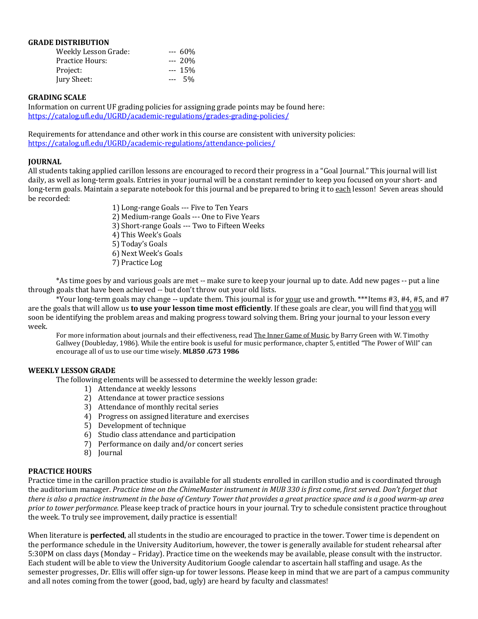# **GRADE DISTRIBUTION**

| <b>Weekly Lesson Grade:</b> |         | --- 60% |
|-----------------------------|---------|---------|
| Practice Hours:             |         | $-20%$  |
| Project:                    |         | --- 15% |
| Jury Sheet:                 | $- - -$ | .5%     |

#### **GRADING SCALE**

Information on current UF grading policies for assigning grade points may be found here: https://catalog.ufl.edu/UGRD/academic-regulations/grades-grading-policies/

Requirements for attendance and other work in this course are consistent with university policies: https://catalog.ufl.edu/UGRD/academic-regulations/attendance-policies/

# **JOURNAL**

All students taking applied carillon lessons are encouraged to record their progress in a "Goal Journal." This journal will list daily, as well as long-term goals. Entries in your journal will be a constant reminder to keep you focused on your short- and long-term goals. Maintain a separate notebook for this journal and be prepared to bring it to each lesson! Seven areas should be recorded:

- 1) Long-range Goals --- Five to Ten Years
- 2) Medium-range Goals --- One to Five Years
- 3) Short-range Goals --- Two to Fifteen Weeks
- 4) This Week's Goals
- 5) Today's Goals
- 6) Next Week's Goals
- 7) Practice Log

\*As time goes by and various goals are met -- make sure to keep your journal up to date. Add new pages -- put a line through goals that have been achieved -- but don't throw out your old lists.

\*Your long-term goals may change -- update them. This journal is for your use and growth. \*\*\*Items #3, #4, #5, and #7 are the goals that will allow us **to use your lesson time most efficiently**. If these goals are clear, you will find that <u>you</u> will soon be identifying the problem areas and making progress toward solving them. Bring your journal to your lesson every week. 

For more information about journals and their effectiveness, read The Inner Game of Music, by Barry Green with W. Timothy Gallwey (Doubleday, 1986). While the entire book is useful for music performance, chapter 5, entitled "The Power of Will" can encourage all of us to use our time wisely. ML850 .G73 1986

# **WEEKLY LESSON GRADE**

The following elements will be assessed to determine the weekly lesson grade:

- 1) Attendance at weekly lessons
- 2) Attendance at tower practice sessions
- 3) Attendance of monthly recital series
- 4) Progress on assigned literature and exercises
- 5) Development of technique
- 6) Studio class attendance and participation
- 7) Performance on daily and/or concert series
- 8) Journal

# **PRACTICE HOURS**

Practice time in the carillon practice studio is available for all students enrolled in carillon studio and is coordinated through the auditorium manager. Practice time on the ChimeMaster instrument in MUB 330 is first come, first served. Don't forget that there is also a practice instrument in the base of Century Tower that provides a great practice space and is a good warm-up area *prior to tower performance.* Please keep track of practice hours in your journal. Try to schedule consistent practice throughout the week. To truly see improvement, daily practice is essential!

When literature is **perfected**, all students in the studio are encouraged to practice in the tower. Tower time is dependent on the performance schedule in the University Auditorium, however, the tower is generally available for student rehearsal after 5:30PM on class days (Monday – Friday). Practice time on the weekends may be available, please consult with the instructor. Each student will be able to view the University Auditorium Google calendar to ascertain hall staffing and usage. As the semester progresses, Dr. Ellis will offer sign-up for tower lessons. Please keep in mind that we are part of a campus community and all notes coming from the tower (good, bad, ugly) are heard by faculty and classmates!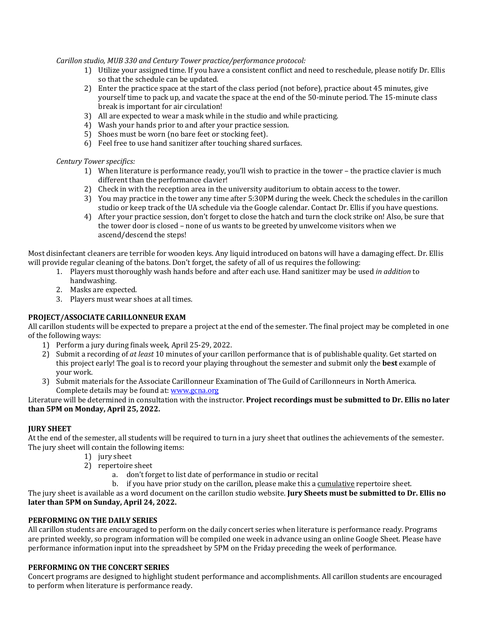*Carillon studio, MUB 330 and Century Tower practice/performance protocol:*

- 1) Utilize vour assigned time. If you have a consistent conflict and need to reschedule, please notify Dr. Ellis so that the schedule can be updated.
- 2) Enter the practice space at the start of the class period (not before), practice about 45 minutes, give yourself time to pack up, and vacate the space at the end of the 50-minute period. The 15-minute class break is important for air circulation!
- 3) All are expected to wear a mask while in the studio and while practicing.
- 4) Wash your hands prior to and after your practice session.
- 5) Shoes must be worn (no bare feet or stocking feet).
- 6) Feel free to use hand sanitizer after touching shared surfaces.

# *Century Tower specifics:*

- 1) When literature is performance ready, you'll wish to practice in the tower the practice clavier is much different than the performance clavier!
- 2) Check in with the reception area in the university auditorium to obtain access to the tower.
- 3) You may practice in the tower any time after 5:30PM during the week. Check the schedules in the carillon studio or keep track of the UA schedule via the Google calendar. Contact Dr. Ellis if you have questions.
- 4) After your practice session, don't forget to close the hatch and turn the clock strike on! Also, be sure that the tower door is closed – none of us wants to be greeted by unwelcome visitors when we ascend/descend the steps!

Most disinfectant cleaners are terrible for wooden keys. Any liquid introduced on batons will have a damaging effect. Dr. Ellis will provide regular cleaning of the batons. Don't forget, the safety of all of us requires the following:

- 1. Players must thoroughly wash hands before and after each use. Hand sanitizer may be used *in addition* to handwashing.
- 2. Masks are expected.
- 3. Players must wear shoes at all times.

# **PROJECT/ASSOCIATE CARILLONNEUR EXAM**

All carillon students will be expected to prepare a project at the end of the semester. The final project may be completed in one of the following ways:

- 1) Perform a jury during finals week, April 25-29, 2022.
- 2) Submit a recording of *at least* 10 minutes of your carillon performance that is of publishable quality. Get started on this project early! The goal is to record your playing throughout the semester and submit only the **best** example of your work.
- 3) Submit materials for the Associate Carillonneur Examination of The Guild of Carillonneurs in North America. Complete details may be found at: www.gcna.org

# Literature will be determined in consultation with the instructor. Project recordings must be submitted to Dr. Ellis no later than 5PM on Monday, April 25, 2022.

# **JURY SHEET**

At the end of the semester, all students will be required to turn in a jury sheet that outlines the achievements of the semester. The jury sheet will contain the following items:

- 1) jury sheet
- 2) repertoire sheet
	- a. don't forget to list date of performance in studio or recital
	- b. if you have prior study on the carillon, please make this a cumulative repertoire sheet.

The jury sheet is available as a word document on the carillon studio website. **Jury Sheets must be submitted to Dr. Ellis no** later than 5PM on Sunday, April 24, 2022.

# **PERFORMING ON THE DAILY SERIES**

All carillon students are encouraged to perform on the daily concert series when literature is performance ready. Programs are printed weekly, so program information will be compiled one week in advance using an online Google Sheet. Please have performance information input into the spreadsheet by 5PM on the Friday preceding the week of performance.

# **PERFORMING ON THE CONCERT SERIES**

Concert programs are designed to highlight student performance and accomplishments. All carillon students are encouraged to perform when literature is performance ready.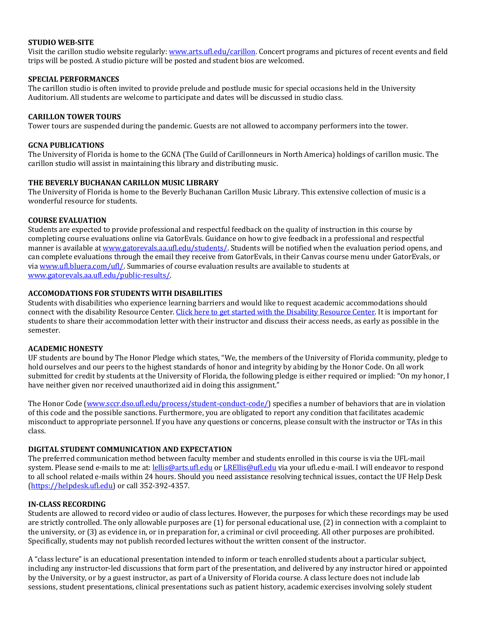# **STUDIO WEB-SITE**

Visit the carillon studio website regularly: www.arts.ufl.edu/carillon. Concert programs and pictures of recent events and field trips will be posted. A studio picture will be posted and student bios are welcomed.

# **SPECIAL PERFORMANCES**

The carillon studio is often invited to provide prelude and postlude music for special occasions held in the University Auditorium. All students are welcome to participate and dates will be discussed in studio class.

# **CARILLON TOWER TOURS**

Tower tours are suspended during the pandemic. Guests are not allowed to accompany performers into the tower.

# **GCNA PUBLICATIONS**

The University of Florida is home to the GCNA (The Guild of Carillonneurs in North America) holdings of carillon music. The carillon studio will assist in maintaining this library and distributing music.

# **THE BEVERLY BUCHANAN CARILLON MUSIC LIBRARY**

The University of Florida is home to the Beverly Buchanan Carillon Music Library. This extensive collection of music is a wonderful resource for students.

# **COURSE EVALUATION**

Students are expected to provide professional and respectful feedback on the quality of instruction in this course by completing course evaluations online via GatorEvals. Guidance on how to give feedback in a professional and respectful manner is available at www.gatorevals.aa.ufl.edu/students/. Students will be notified when the evaluation period opens, and can complete evaluations through the email they receive from GatorEvals, in their Canvas course menu under GatorEvals, or via www.ufl.bluera.com/ufl/. Summaries of course evaluation results are available to students at www.gatorevals.aa.ufl.edu/public-results/.

# **ACCOMODATIONS FOR STUDENTS WITH DISABILITIES**

Students with disabilities who experience learning barriers and would like to request academic accommodations should connect with the disability Resource Center. Click here to get started with the Disability Resource Center. It is important for students to share their accommodation letter with their instructor and discuss their access needs, as early as possible in the semester.

# **ACADEMIC HONESTY**

UF students are bound by The Honor Pledge which states, "We, the members of the University of Florida community, pledge to hold ourselves and our peers to the highest standards of honor and integrity by abiding by the Honor Code. On all work submitted for credit by students at the University of Florida, the following pledge is either required or implied: "On my honor, I have neither given nor received unauthorized aid in doing this assignment."

The Honor Code (www.sccr.dso.ufl.edu/process/student-conduct-code/) specifies a number of behaviors that are in violation of this code and the possible sanctions. Furthermore, you are obligated to report any condition that facilitates academic misconduct to appropriate personnel. If you have any questions or concerns, please consult with the instructor or TAs in this class.

# **DIGITAL STUDENT COMMUNICATION AND EXPECTATION**

The preferred communication method between faculty member and students enrolled in this course is via the UFL-mail system. Please send e-mails to me at: *lellis@arts.ufl.edu* or *LREllis@ufl.edu* via your ufl.edu e-mail. I will endeavor to respond to all school related e-mails within 24 hours. Should you need assistance resolving technical issues, contact the UF Help Desk (https://helpdesk.ufl.edu) or call 352-392-4357.

# **IN-CLASS RECORDING**

Students are allowed to record video or audio of class lectures. However, the purposes for which these recordings may be used are strictly controlled. The only allowable purposes are  $(1)$  for personal educational use,  $(2)$  in connection with a complaint to the university, or (3) as evidence in, or in preparation for, a criminal or civil proceeding. All other purposes are prohibited. Specifically, students may not publish recorded lectures without the written consent of the instructor.

A "class lecture" is an educational presentation intended to inform or teach enrolled students about a particular subject, including any instructor-led discussions that form part of the presentation, and delivered by any instructor hired or appointed by the University, or by a guest instructor, as part of a University of Florida course. A class lecture does not include lab sessions, student presentations, clinical presentations such as patient history, academic exercises involving solely student